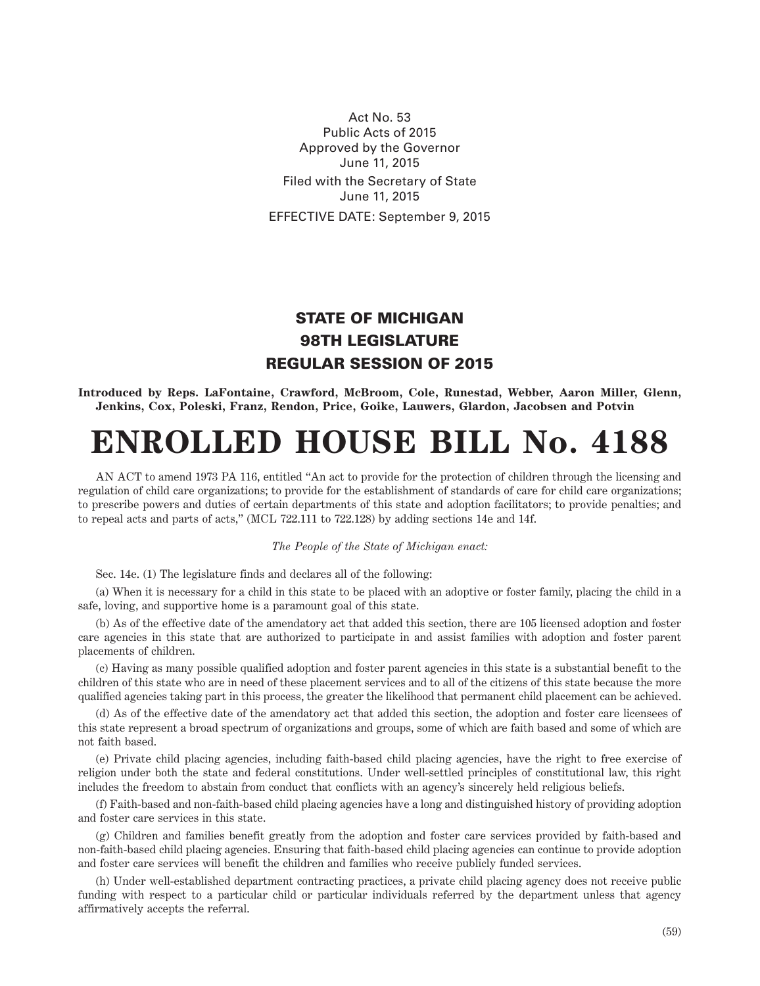Act No. 53 Public Acts of 2015 Approved by the Governor June 11, 2015 Filed with the Secretary of State June 11, 2015 EFFECTIVE DATE: September 9, 2015

## STATE OF MICHIGAN 98TH LEGISLATURE REGULAR SESSION OF 2015

**Introduced by Reps. LaFontaine, Crawford, McBroom, Cole, Runestad, Webber, Aaron Miller, Glenn, Jenkins, Cox, Poleski, Franz, Rendon, Price, Goike, Lauwers, Glardon, Jacobsen and Potvin**

## **ENROLLED HOUSE BILL No. 4188**

AN ACT to amend 1973 PA 116, entitled "An act to provide for the protection of children through the licensing and regulation of child care organizations; to provide for the establishment of standards of care for child care organizations; to prescribe powers and duties of certain departments of this state and adoption facilitators; to provide penalties; and to repeal acts and parts of acts," (MCL 722.111 to 722.128) by adding sections 14e and 14f.

## *The People of the State of Michigan enact:*

Sec. 14e. (1) The legislature finds and declares all of the following:

(a) When it is necessary for a child in this state to be placed with an adoptive or foster family, placing the child in a safe, loving, and supportive home is a paramount goal of this state.

(b) As of the effective date of the amendatory act that added this section, there are 105 licensed adoption and foster care agencies in this state that are authorized to participate in and assist families with adoption and foster parent placements of children.

(c) Having as many possible qualified adoption and foster parent agencies in this state is a substantial benefit to the children of this state who are in need of these placement services and to all of the citizens of this state because the more qualified agencies taking part in this process, the greater the likelihood that permanent child placement can be achieved.

(d) As of the effective date of the amendatory act that added this section, the adoption and foster care licensees of this state represent a broad spectrum of organizations and groups, some of which are faith based and some of which are not faith based.

(e) Private child placing agencies, including faith-based child placing agencies, have the right to free exercise of religion under both the state and federal constitutions. Under well-settled principles of constitutional law, this right includes the freedom to abstain from conduct that conflicts with an agency's sincerely held religious beliefs.

(f) Faith-based and non-faith-based child placing agencies have a long and distinguished history of providing adoption and foster care services in this state.

(g) Children and families benefit greatly from the adoption and foster care services provided by faith-based and non-faith-based child placing agencies. Ensuring that faith-based child placing agencies can continue to provide adoption and foster care services will benefit the children and families who receive publicly funded services.

(h) Under well-established department contracting practices, a private child placing agency does not receive public funding with respect to a particular child or particular individuals referred by the department unless that agency affirmatively accepts the referral.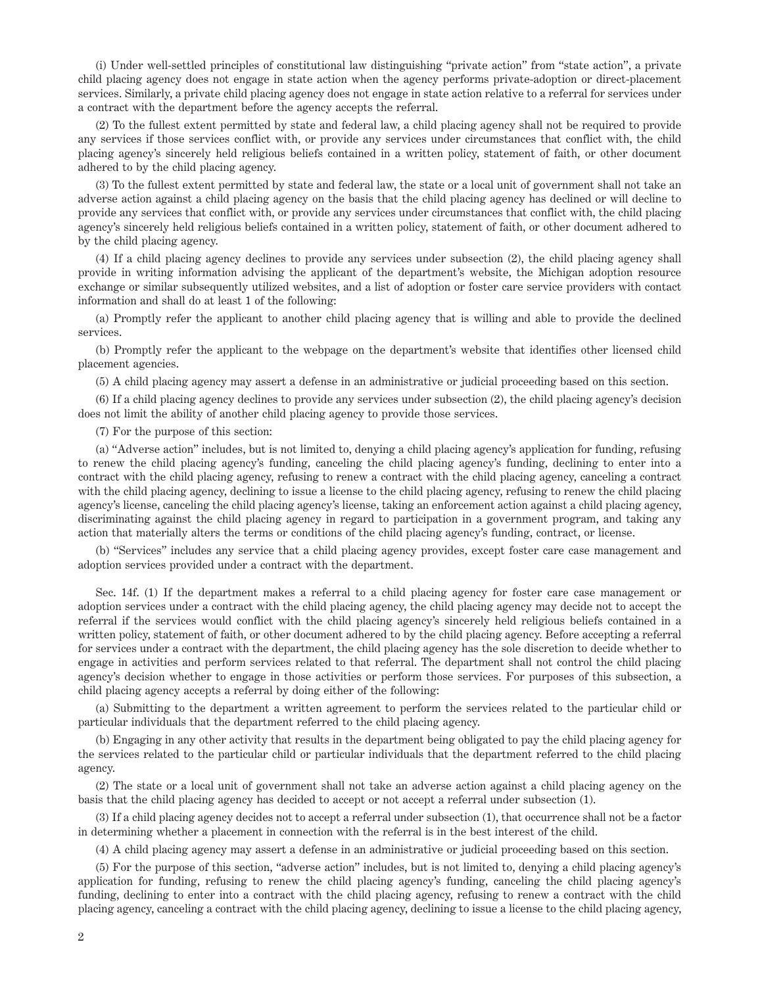(i) Under well-settled principles of constitutional law distinguishing "private action" from "state action", a private child placing agency does not engage in state action when the agency performs private-adoption or direct-placement services. Similarly, a private child placing agency does not engage in state action relative to a referral for services under a contract with the department before the agency accepts the referral.

(2) To the fullest extent permitted by state and federal law, a child placing agency shall not be required to provide any services if those services conflict with, or provide any services under circumstances that conflict with, the child placing agency's sincerely held religious beliefs contained in a written policy, statement of faith, or other document adhered to by the child placing agency.

(3) To the fullest extent permitted by state and federal law, the state or a local unit of government shall not take an adverse action against a child placing agency on the basis that the child placing agency has declined or will decline to provide any services that conflict with, or provide any services under circumstances that conflict with, the child placing agency's sincerely held religious beliefs contained in a written policy, statement of faith, or other document adhered to by the child placing agency.

(4) If a child placing agency declines to provide any services under subsection (2), the child placing agency shall provide in writing information advising the applicant of the department's website, the Michigan adoption resource exchange or similar subsequently utilized websites, and a list of adoption or foster care service providers with contact information and shall do at least 1 of the following:

(a) Promptly refer the applicant to another child placing agency that is willing and able to provide the declined services.

(b) Promptly refer the applicant to the webpage on the department's website that identifies other licensed child placement agencies.

(5) A child placing agency may assert a defense in an administrative or judicial proceeding based on this section.

(6) If a child placing agency declines to provide any services under subsection (2), the child placing agency's decision does not limit the ability of another child placing agency to provide those services.

(7) For the purpose of this section:

(a) "Adverse action" includes, but is not limited to, denying a child placing agency's application for funding, refusing to renew the child placing agency's funding, canceling the child placing agency's funding, declining to enter into a contract with the child placing agency, refusing to renew a contract with the child placing agency, canceling a contract with the child placing agency, declining to issue a license to the child placing agency, refusing to renew the child placing agency's license, canceling the child placing agency's license, taking an enforcement action against a child placing agency, discriminating against the child placing agency in regard to participation in a government program, and taking any action that materially alters the terms or conditions of the child placing agency's funding, contract, or license.

(b) "Services" includes any service that a child placing agency provides, except foster care case management and adoption services provided under a contract with the department.

Sec. 14f. (1) If the department makes a referral to a child placing agency for foster care case management or adoption services under a contract with the child placing agency, the child placing agency may decide not to accept the referral if the services would conflict with the child placing agency's sincerely held religious beliefs contained in a written policy, statement of faith, or other document adhered to by the child placing agency. Before accepting a referral for services under a contract with the department, the child placing agency has the sole discretion to decide whether to engage in activities and perform services related to that referral. The department shall not control the child placing agency's decision whether to engage in those activities or perform those services. For purposes of this subsection, a child placing agency accepts a referral by doing either of the following:

(a) Submitting to the department a written agreement to perform the services related to the particular child or particular individuals that the department referred to the child placing agency.

(b) Engaging in any other activity that results in the department being obligated to pay the child placing agency for the services related to the particular child or particular individuals that the department referred to the child placing agency.

(2) The state or a local unit of government shall not take an adverse action against a child placing agency on the basis that the child placing agency has decided to accept or not accept a referral under subsection (1).

(3) If a child placing agency decides not to accept a referral under subsection (1), that occurrence shall not be a factor in determining whether a placement in connection with the referral is in the best interest of the child.

(4) A child placing agency may assert a defense in an administrative or judicial proceeding based on this section.

(5) For the purpose of this section, "adverse action" includes, but is not limited to, denying a child placing agency's application for funding, refusing to renew the child placing agency's funding, canceling the child placing agency's funding, declining to enter into a contract with the child placing agency, refusing to renew a contract with the child placing agency, canceling a contract with the child placing agency, declining to issue a license to the child placing agency,